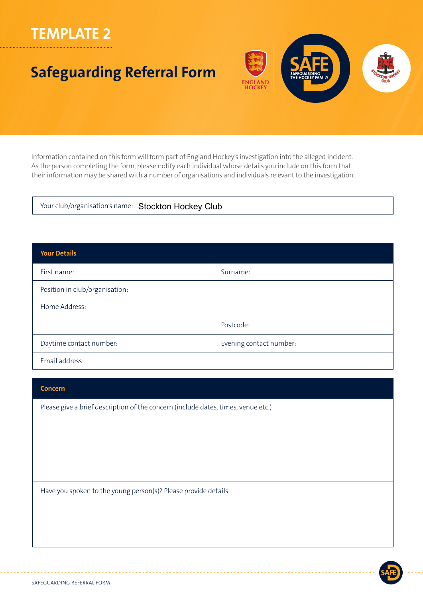## **TEMPLATE 2**

# **Safeguarding Referral Form**



Information contained on this form will form part of England Hockey's investigation into the alleged incident. As the person completing the form, please notify each individual whose details you include on this form that their information may be shared with a number of organisations and individuals relevant to the investigation.

Your club/organisation's name: Stockton Hockey Club

| <b>Your Details</b>            |                         |  |  |
|--------------------------------|-------------------------|--|--|
| First name:                    | Surname:                |  |  |
| Position in club/organisation: |                         |  |  |
| Home Address:                  |                         |  |  |
|                                | Postcode:               |  |  |
| Daytime contact number:        | Evening contact number: |  |  |
| Email address:                 |                         |  |  |

#### **Concern**

Please give a brief description of the concern (include dates, times, venue etc.)

Have you spoken to the young person(s)? Please provide details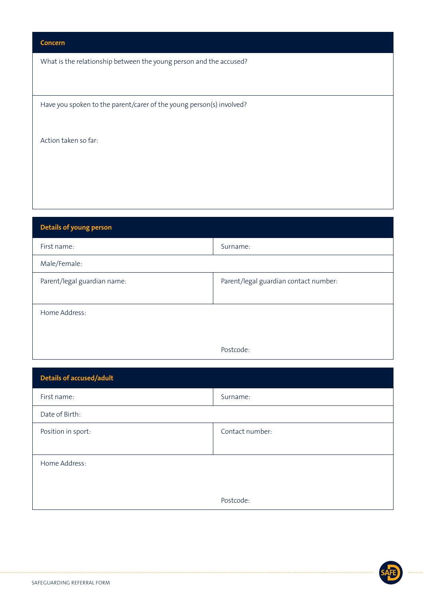### **Concern**

What is the relationship between the young person and the accused?

Have you spoken to the parent/carer of the young person(s) involved?

Action taken so far:

| <b>Details of young person</b> |                                       |  |
|--------------------------------|---------------------------------------|--|
| First name:                    | Surname:                              |  |
| Male/Female:                   |                                       |  |
| Parent/legal guardian name:    | Parent/legal guardian contact number: |  |
|                                |                                       |  |
| Home Address:                  |                                       |  |
|                                |                                       |  |
|                                | Postcode:                             |  |

| <b>Details of accused/adult</b> |                 |
|---------------------------------|-----------------|
| First name:                     | Surname:        |
| Date of Birth:                  |                 |
| Position in sport:              | Contact number: |
|                                 |                 |
| Home Address:                   |                 |
|                                 |                 |
|                                 | Postcode:       |